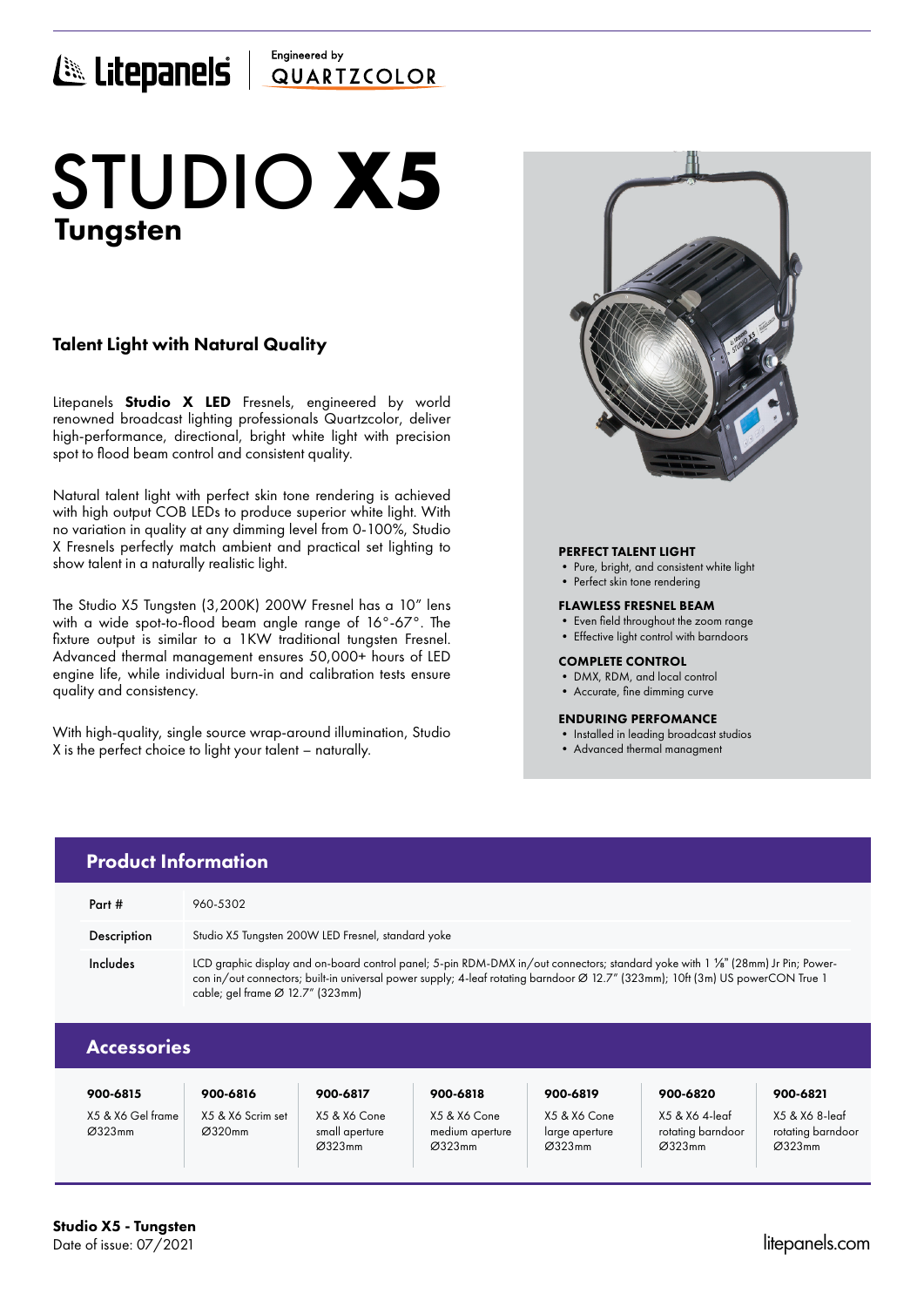### Engineered by E Litepanels QUARTICOLOR

# Tungsten STUDIO **X5**

### Talent Light with Natural Quality

Litepanels **Studio X LED** Fresnels, engineered by world renowned broadcast lighting professionals Quartzcolor, deliver high-performance, directional, bright white light with precision spot to flood beam control and consistent quality.

Natural talent light with perfect skin tone rendering is achieved with high output COB LEDs to produce superior white light. With no variation in quality at any dimming level from 0-100%, Studio X Fresnels perfectly match ambient and practical set lighting to show talent in a naturally realistic light.

The Studio X5 Tungsten (3,200K) 200W Fresnel has a 10" lens with a wide spot-to-flood beam angle range of 16°-67°. The fixture output is similar to a 1KW traditional tungsten Fresnel. Advanced thermal management ensures 50,000+ hours of LED engine life, while individual burn-in and calibration tests ensure quality and consistency.

With high-quality, single source wrap-around illumination, Studio X is the perfect choice to light your talent – naturally.



#### PERFECT TALENT LIGHT

- Pure, bright, and consistent white light
- Perfect skin tone rendering

#### FLAWLESS FRESNEL BEAM

- Even field throughout the zoom range
- Effective light control with barndoors

#### COMPLETE CONTROL

- DMX, RDM, and local control
- Accurate, fine dimming curve

#### ENDURING PERFOMANCE

- Installed in leading broadcast studios
- Advanced thermal managment

| 900-6815                    | 900-6816                    | 900-6817                                 | 900-6818                                  | 900-6819                                 | 900-6820                                      | 900-6821                                      |
|-----------------------------|-----------------------------|------------------------------------------|-------------------------------------------|------------------------------------------|-----------------------------------------------|-----------------------------------------------|
| X5 & X6 Gel frame<br>Ø323mm | X5 & X6 Scrim set<br>Ø320mm | X5 & X6 Cone<br>small aperture<br>Ø323mm | X5 & X6 Cone<br>medium aperture<br>Ø323mm | X5 & X6 Cone<br>large aperture<br>Ø323mm | X5 & X6 4-leaf<br>rotating barndoor<br>Ø323mm | X5 & X6 8-leaf<br>rotating barndoor<br>Ø323mm |